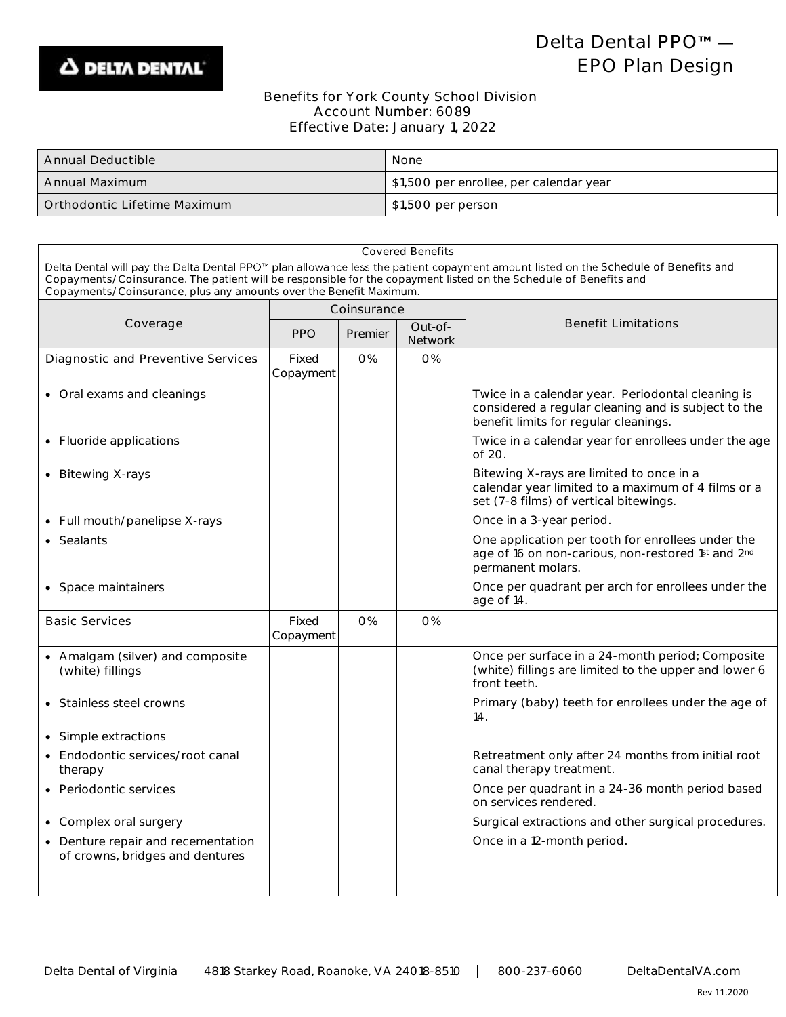

## Delta Dental PPO<sup>™</sup> -EPO Plan Design

## Benefits for York County School Division Account Number: 6089 Effective Date: January 1, 2022

| <b>Annual Deductible</b>     | None                                    |
|------------------------------|-----------------------------------------|
| Annual Maximum               | \$1,500 per enrollee, per calendar year |
| Orthodontic Lifetime Maximum | \$1,500 per person                      |

| <b>Covered Benefits</b>                                                                                                                                                                                                                                 |                    |         |                                                  |                                                                                                                                                   |  |  |  |  |
|---------------------------------------------------------------------------------------------------------------------------------------------------------------------------------------------------------------------------------------------------------|--------------------|---------|--------------------------------------------------|---------------------------------------------------------------------------------------------------------------------------------------------------|--|--|--|--|
| Delta Dental will pay the Delta Dental PPO™ plan allowance less the patient copayment amount listed on the Schedule of Benefits and<br>Copayments/Coinsurance. The patient will be responsible for the copayment listed on the Schedule of Benefits and |                    |         |                                                  |                                                                                                                                                   |  |  |  |  |
| Copayments/Coinsurance, plus any amounts over the Benefit Maximum.                                                                                                                                                                                      |                    |         |                                                  |                                                                                                                                                   |  |  |  |  |
|                                                                                                                                                                                                                                                         | Coinsurance        |         |                                                  |                                                                                                                                                   |  |  |  |  |
| Coverage                                                                                                                                                                                                                                                | <b>PPO</b>         | Premier | <b>Benefit Limitations</b><br>Out-of-<br>Network |                                                                                                                                                   |  |  |  |  |
| Diagnostic and Preventive Services                                                                                                                                                                                                                      | Fixed<br>Copayment | O%      | O%                                               |                                                                                                                                                   |  |  |  |  |
| • Oral exams and cleanings                                                                                                                                                                                                                              |                    |         |                                                  | Twice in a calendar year. Periodontal cleaning is<br>considered a regular cleaning and is subject to the<br>benefit limits for regular cleanings. |  |  |  |  |
| • Fluoride applications                                                                                                                                                                                                                                 |                    |         |                                                  | Twice in a calendar year for enrollees under the age<br>of 20.                                                                                    |  |  |  |  |
| • Bitewing X-rays                                                                                                                                                                                                                                       |                    |         |                                                  | Bitewing X-rays are limited to once in a<br>calendar year limited to a maximum of 4 films or a<br>set (7-8 films) of vertical bitewings.          |  |  |  |  |
| • Full mouth/panelipse X-rays                                                                                                                                                                                                                           |                    |         |                                                  | Once in a 3-year period.                                                                                                                          |  |  |  |  |
| • Sealants                                                                                                                                                                                                                                              |                    |         |                                                  | One application per tooth for enrollees under the<br>age of 16 on non-carious, non-restored 1st and 2nd<br>permanent molars.                      |  |  |  |  |
| • Space maintainers                                                                                                                                                                                                                                     |                    |         |                                                  | Once per quadrant per arch for enrollees under the<br>age of 14.                                                                                  |  |  |  |  |
| <b>Basic Services</b>                                                                                                                                                                                                                                   | Fixed<br>Copayment | 0%      | O%                                               |                                                                                                                                                   |  |  |  |  |
| • Amalgam (silver) and composite<br>(white) fillings                                                                                                                                                                                                    |                    |         |                                                  | Once per surface in a 24-month period; Composite<br>(white) fillings are limited to the upper and lower 6<br>front teeth.                         |  |  |  |  |
| • Stainless steel crowns                                                                                                                                                                                                                                |                    |         |                                                  | Primary (baby) teeth for enrollees under the age of<br>14.                                                                                        |  |  |  |  |
| • Simple extractions                                                                                                                                                                                                                                    |                    |         |                                                  |                                                                                                                                                   |  |  |  |  |
| • Endodontic services/root canal<br>therapy                                                                                                                                                                                                             |                    |         |                                                  | Retreatment only after 24 months from initial root<br>canal therapy treatment.                                                                    |  |  |  |  |
| • Periodontic services                                                                                                                                                                                                                                  |                    |         |                                                  | Once per quadrant in a 24-36 month period based<br>on services rendered.                                                                          |  |  |  |  |
| • Complex oral surgery                                                                                                                                                                                                                                  |                    |         |                                                  | Surgical extractions and other surgical procedures.                                                                                               |  |  |  |  |
| • Denture repair and recementation<br>of crowns, bridges and dentures                                                                                                                                                                                   |                    |         |                                                  | Once in a 12-month period.                                                                                                                        |  |  |  |  |
|                                                                                                                                                                                                                                                         |                    |         |                                                  |                                                                                                                                                   |  |  |  |  |